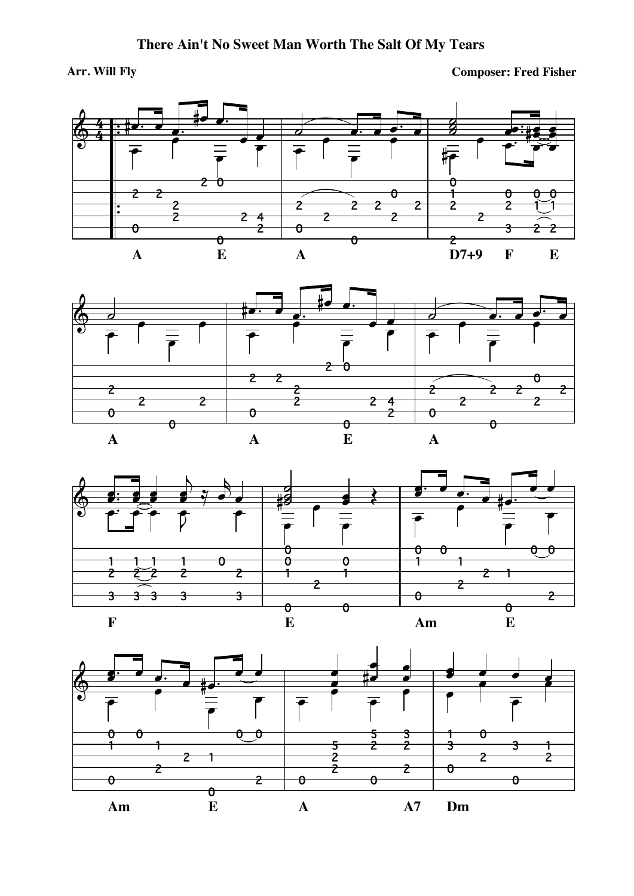## Arr. Will Fly

**Composer: Fred Fisher** 







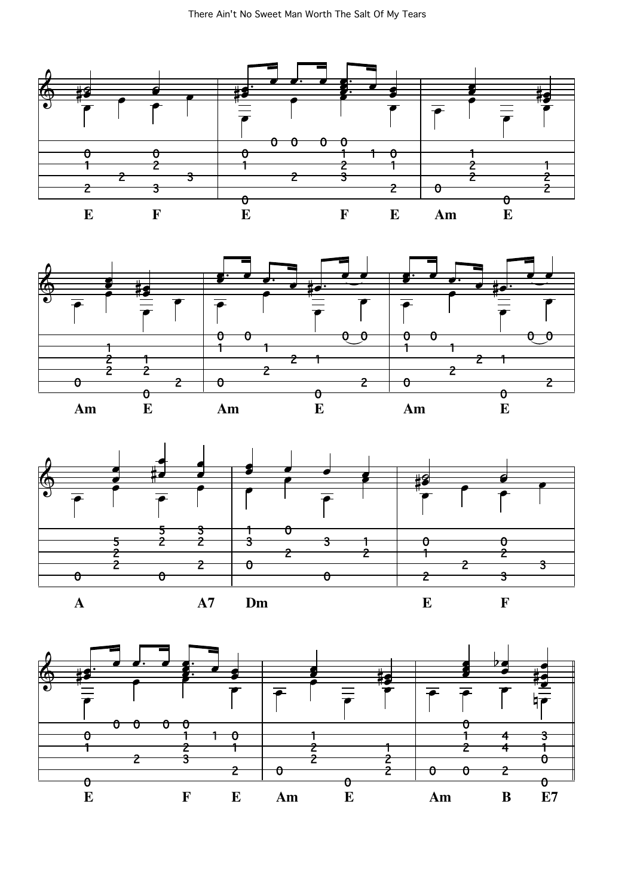





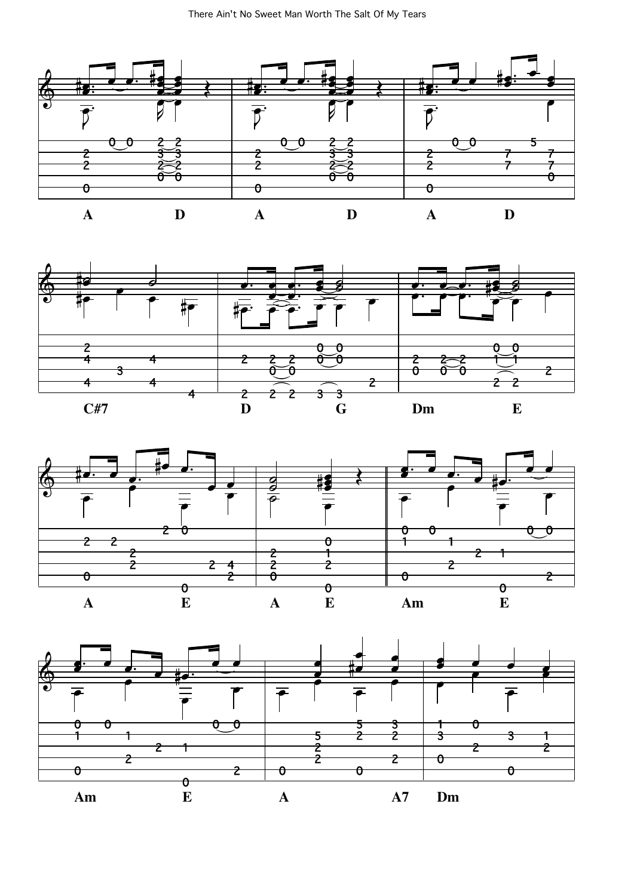